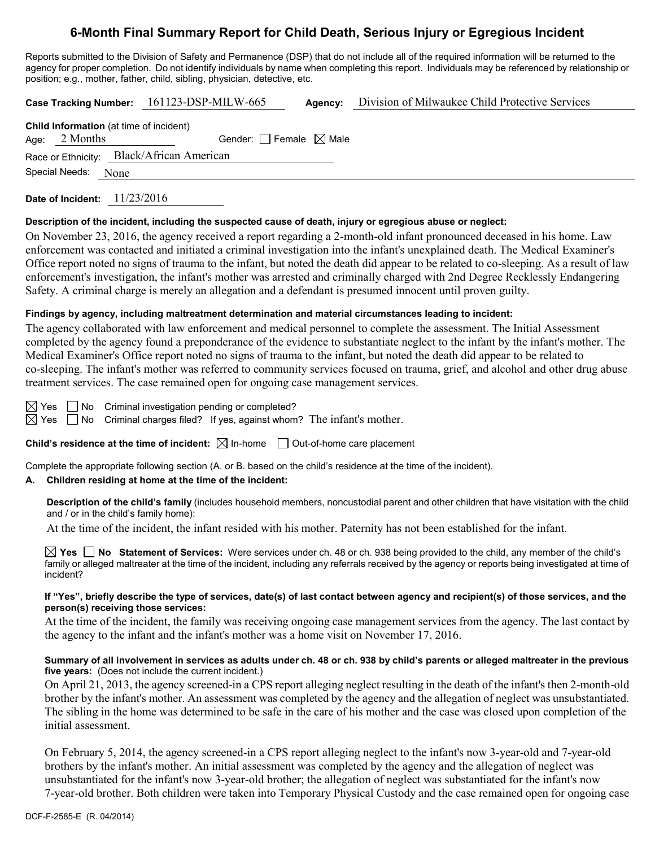# **6-Month Final Summary Report for Child Death, Serious Injury or Egregious Incident**

Reports submitted to the Division of Safety and Permanence (DSP) that do not include all of the required information will be returned to the agency for proper completion. Do not identify individuals by name when completing this report. Individuals may be referenced by relationship or position; e.g., mother, father, child, sibling, physician, detective, etc.

**Case Tracking Number:** 161123-DSP-MILW-665 **Agency:** Division of Milwaukee Child Protective Services

|                     | <b>Child Information</b> (at time of incident) |  |
|---------------------|------------------------------------------------|--|
| Age: $2$ Months     | Gender: Female $\boxtimes$ Male                |  |
|                     | Race or Ethnicity: Black/African American      |  |
| Special Needs: None |                                                |  |
|                     |                                                |  |

**Date of Incident:** 11/23/2016

## **Description of the incident, including the suspected cause of death, injury or egregious abuse or neglect:**

On November 23, 2016, the agency received a report regarding a 2-month-old infant pronounced deceased in his home. Law enforcement was contacted and initiated a criminal investigation into the infant's unexplained death. The Medical Examiner's Office report noted no signs of trauma to the infant, but noted the death did appear to be related to co-sleeping. As a result of law enforcement's investigation, the infant's mother was arrested and criminally charged with 2nd Degree Recklessly Endangering Safety. A criminal charge is merely an allegation and a defendant is presumed innocent until proven guilty.

# **Findings by agency, including maltreatment determination and material circumstances leading to incident:**

The agency collaborated with law enforcement and medical personnel to complete the assessment. The Initial Assessment completed by the agency found a preponderance of the evidence to substantiate neglect to the infant by the infant's mother. The Medical Examiner's Office report noted no signs of trauma to the infant, but noted the death did appear to be related to co-sleeping. The infant's mother was referred to community services focused on trauma, grief, and alcohol and other drug abuse treatment services. The case remained open for ongoing case management services.

 $\boxtimes$  Yes  $\Box$  No Criminal investigation pending or completed?

 $\boxtimes$  Yes  $\Box$  No Criminal charges filed? If yes, against whom? The infant's mother.

**Child's residence at the time of incident:**  $\boxtimes$  In-home  $\Box$  Out-of-home care placement

Complete the appropriate following section (A. or B. based on the child's residence at the time of the incident).

# **A. Children residing at home at the time of the incident:**

**Description of the child's family** (includes household members, noncustodial parent and other children that have visitation with the child and / or in the child's family home):

At the time of the incident, the infant resided with his mother. Paternity has not been established for the infant.

**Yes No Statement of Services:** Were services under ch. 48 or ch. 938 being provided to the child, any member of the child's family or alleged maltreater at the time of the incident, including any referrals received by the agency or reports being investigated at time of incident?

## **If "Yes", briefly describe the type of services, date(s) of last contact between agency and recipient(s) of those services, and the person(s) receiving those services:**

At the time of the incident, the family was receiving ongoing case management services from the agency. The last contact by the agency to the infant and the infant's mother was a home visit on November 17, 2016.

# **Summary of all involvement in services as adults under ch. 48 or ch. 938 by child's parents or alleged maltreater in the previous five years:** (Does not include the current incident.)

On April 21, 2013, the agency screened-in a CPS report alleging neglect resulting in the death of the infant's then 2-month-old brother by the infant's mother. An assessment was completed by the agency and the allegation of neglect was unsubstantiated. The sibling in the home was determined to be safe in the care of his mother and the case was closed upon completion of the initial assessment.

On February 5, 2014, the agency screened-in a CPS report alleging neglect to the infant's now 3-year-old and 7-year-old brothers by the infant's mother. An initial assessment was completed by the agency and the allegation of neglect was unsubstantiated for the infant's now 3-year-old brother; the allegation of neglect was substantiated for the infant's now 7-year-old brother. Both children were taken into Temporary Physical Custody and the case remained open for ongoing case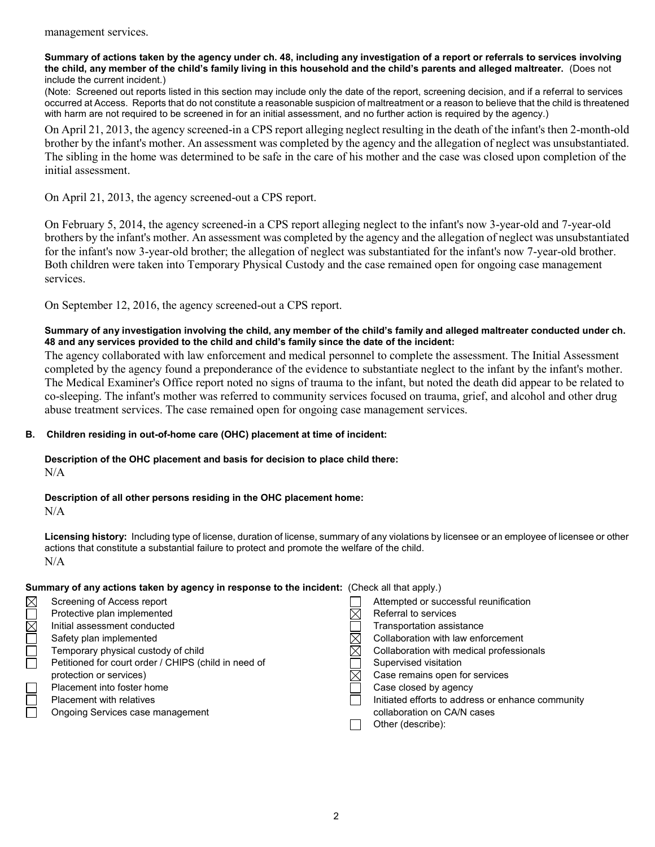#### **Summary of actions taken by the agency under ch. 48, including any investigation of a report or referrals to services involving the child, any member of the child's family living in this household and the child's parents and alleged maltreater.** (Does not include the current incident.)

(Note: Screened out reports listed in this section may include only the date of the report, screening decision, and if a referral to services occurred at Access. Reports that do not constitute a reasonable suspicion of maltreatment or a reason to believe that the child is threatened with harm are not required to be screened in for an initial assessment, and no further action is required by the agency.)

On April 21, 2013, the agency screened-in a CPS report alleging neglect resulting in the death of the infant's then 2-month-old brother by the infant's mother. An assessment was completed by the agency and the allegation of neglect was unsubstantiated. The sibling in the home was determined to be safe in the care of his mother and the case was closed upon completion of the initial assessment.

On April 21, 2013, the agency screened-out a CPS report.

On February 5, 2014, the agency screened-in a CPS report alleging neglect to the infant's now 3-year-old and 7-year-old brothers by the infant's mother. An assessment was completed by the agency and the allegation of neglect was unsubstantiated for the infant's now 3-year-old brother; the allegation of neglect was substantiated for the infant's now 7-year-old brother. Both children were taken into Temporary Physical Custody and the case remained open for ongoing case management services.

On September 12, 2016, the agency screened-out a CPS report.

#### **Summary of any investigation involving the child, any member of the child's family and alleged maltreater conducted under ch. 48 and any services provided to the child and child's family since the date of the incident:**

The agency collaborated with law enforcement and medical personnel to complete the assessment. The Initial Assessment completed by the agency found a preponderance of the evidence to substantiate neglect to the infant by the infant's mother. The Medical Examiner's Office report noted no signs of trauma to the infant, but noted the death did appear to be related to co-sleeping. The infant's mother was referred to community services focused on trauma, grief, and alcohol and other drug abuse treatment services. The case remained open for ongoing case management services.

## **B. Children residing in out-of-home care (OHC) placement at time of incident:**

**Description of the OHC placement and basis for decision to place child there:** N/A

# **Description of all other persons residing in the OHC placement home:**

N/A

**Licensing history:** Including type of license, duration of license, summary of any violations by licensee or an employee of licensee or other actions that constitute a substantial failure to protect and promote the welfare of the child. N/A

# **Summary of any actions taken by agency in response to the incident:** (Check all that apply.)

| $\boxtimes$            | Screening of Access report                           | Attempted or successful reunification             |
|------------------------|------------------------------------------------------|---------------------------------------------------|
|                        | Protective plan implemented                          | Referral to services                              |
| $\overline{\boxtimes}$ | Initial assessment conducted                         | Transportation assistance                         |
|                        | Safety plan implemented                              | Collaboration with law enforcement                |
| $\Box$                 | Temporary physical custody of child                  | Collaboration with medical professionals          |
|                        | Petitioned for court order / CHIPS (child in need of | Supervised visitation                             |
|                        | protection or services)                              | Case remains open for services                    |
|                        | Placement into foster home                           | Case closed by agency                             |
|                        | <b>Placement with relatives</b>                      | Initiated efforts to address or enhance community |
|                        | Ongoing Services case management                     | collaboration on CA/N cases                       |
|                        |                                                      | Other (describe):                                 |
|                        |                                                      |                                                   |